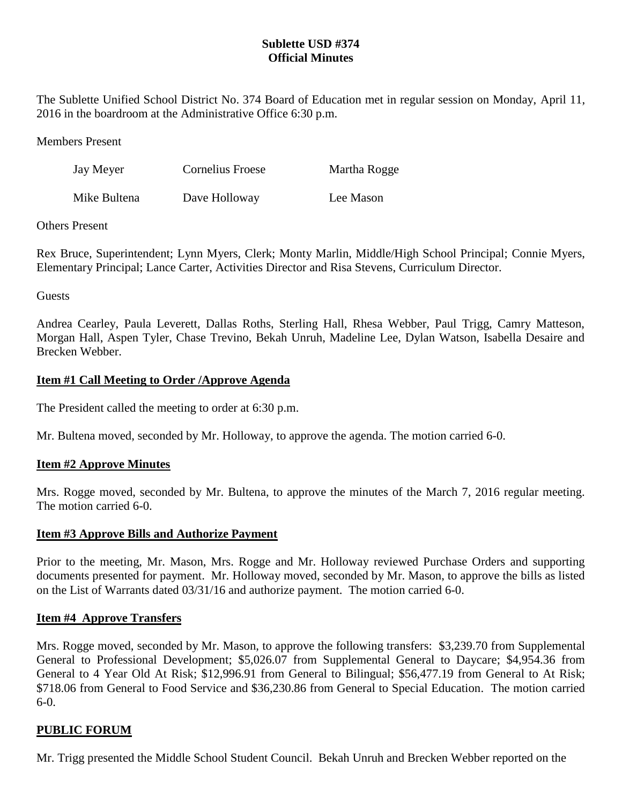## **Sublette USD #374 Official Minutes**

The Sublette Unified School District No. 374 Board of Education met in regular session on Monday, April 11, 2016 in the boardroom at the Administrative Office 6:30 p.m.

Members Present

| Jay Meyer    | Cornelius Froese | Martha Rogge |
|--------------|------------------|--------------|
| Mike Bultena | Dave Holloway    | Lee Mason    |

### Others Present

Rex Bruce, Superintendent; Lynn Myers, Clerk; Monty Marlin, Middle/High School Principal; Connie Myers, Elementary Principal; Lance Carter, Activities Director and Risa Stevens, Curriculum Director.

Guests

Andrea Cearley, Paula Leverett, Dallas Roths, Sterling Hall, Rhesa Webber, Paul Trigg, Camry Matteson, Morgan Hall, Aspen Tyler, Chase Trevino, Bekah Unruh, Madeline Lee, Dylan Watson, Isabella Desaire and Brecken Webber.

## **Item #1 Call Meeting to Order /Approve Agenda**

The President called the meeting to order at 6:30 p.m.

Mr. Bultena moved, seconded by Mr. Holloway, to approve the agenda. The motion carried 6-0.

## **Item #2 Approve Minutes**

Mrs. Rogge moved, seconded by Mr. Bultena, to approve the minutes of the March 7, 2016 regular meeting. The motion carried 6-0.

#### **Item #3 Approve Bills and Authorize Payment**

Prior to the meeting, Mr. Mason, Mrs. Rogge and Mr. Holloway reviewed Purchase Orders and supporting documents presented for payment. Mr. Holloway moved, seconded by Mr. Mason, to approve the bills as listed on the List of Warrants dated 03/31/16 and authorize payment. The motion carried 6-0.

#### **Item #4 Approve Transfers**

Mrs. Rogge moved, seconded by Mr. Mason, to approve the following transfers: \$3,239.70 from Supplemental General to Professional Development; \$5,026.07 from Supplemental General to Daycare; \$4,954.36 from General to 4 Year Old At Risk; \$12,996.91 from General to Bilingual; \$56,477.19 from General to At Risk; \$718.06 from General to Food Service and \$36,230.86 from General to Special Education. The motion carried 6-0.

## **PUBLIC FORUM**

Mr. Trigg presented the Middle School Student Council. Bekah Unruh and Brecken Webber reported on the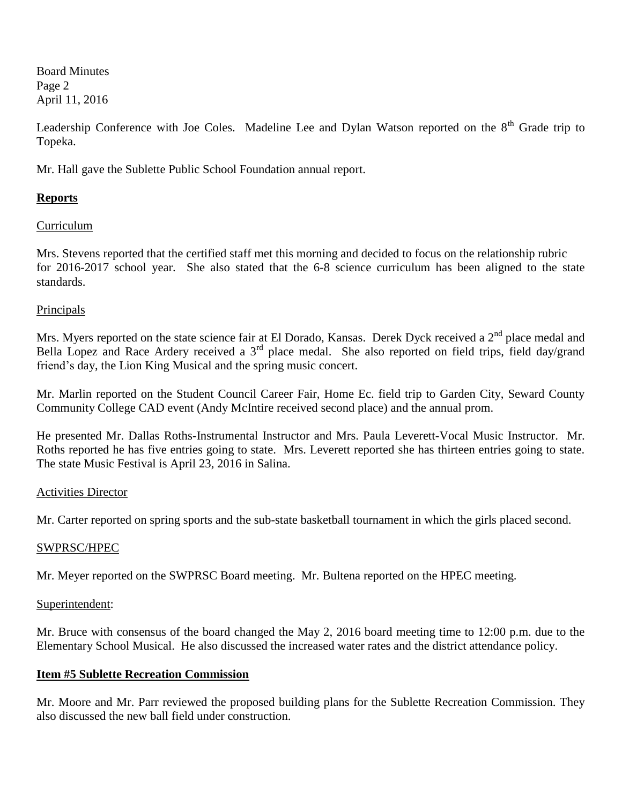Board Minutes Page 2 April 11, 2016

Leadership Conference with Joe Coles. Madeline Lee and Dylan Watson reported on the 8<sup>th</sup> Grade trip to Topeka.

Mr. Hall gave the Sublette Public School Foundation annual report.

# **Reports**

# Curriculum

Mrs. Stevens reported that the certified staff met this morning and decided to focus on the relationship rubric for 2016-2017 school year. She also stated that the 6-8 science curriculum has been aligned to the state standards.

# Principals

Mrs. Myers reported on the state science fair at El Dorado, Kansas. Derek Dyck received a 2<sup>nd</sup> place medal and Bella Lopez and Race Ardery received a  $3<sup>rd</sup>$  place medal. She also reported on field trips, field day/grand friend's day, the Lion King Musical and the spring music concert.

Mr. Marlin reported on the Student Council Career Fair, Home Ec. field trip to Garden City, Seward County Community College CAD event (Andy McIntire received second place) and the annual prom.

He presented Mr. Dallas Roths-Instrumental Instructor and Mrs. Paula Leverett-Vocal Music Instructor. Mr. Roths reported he has five entries going to state. Mrs. Leverett reported she has thirteen entries going to state. The state Music Festival is April 23, 2016 in Salina.

## Activities Director

Mr. Carter reported on spring sports and the sub-state basketball tournament in which the girls placed second.

## SWPRSC/HPEC

Mr. Meyer reported on the SWPRSC Board meeting. Mr. Bultena reported on the HPEC meeting.

## Superintendent:

Mr. Bruce with consensus of the board changed the May 2, 2016 board meeting time to 12:00 p.m. due to the Elementary School Musical. He also discussed the increased water rates and the district attendance policy.

## **Item #5 Sublette Recreation Commission**

Mr. Moore and Mr. Parr reviewed the proposed building plans for the Sublette Recreation Commission. They also discussed the new ball field under construction.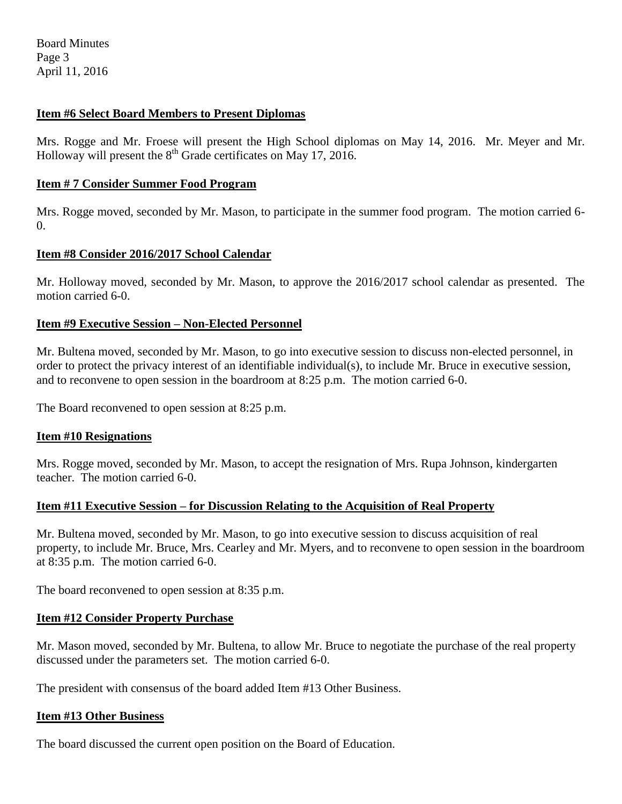Board Minutes Page 3 April 11, 2016

### **Item #6 Select Board Members to Present Diplomas**

Mrs. Rogge and Mr. Froese will present the High School diplomas on May 14, 2016. Mr. Meyer and Mr. Holloway will present the  $8<sup>th</sup>$  Grade certificates on May 17, 2016.

#### **Item # 7 Consider Summer Food Program**

Mrs. Rogge moved, seconded by Mr. Mason, to participate in the summer food program. The motion carried 6-  $\Omega$ .

### **Item #8 Consider 2016/2017 School Calendar**

Mr. Holloway moved, seconded by Mr. Mason, to approve the 2016/2017 school calendar as presented. The motion carried 6-0.

### **Item #9 Executive Session – Non-Elected Personnel**

Mr. Bultena moved, seconded by Mr. Mason, to go into executive session to discuss non-elected personnel, in order to protect the privacy interest of an identifiable individual(s), to include Mr. Bruce in executive session, and to reconvene to open session in the boardroom at 8:25 p.m. The motion carried 6-0.

The Board reconvened to open session at 8:25 p.m.

#### **Item #10 Resignations**

Mrs. Rogge moved, seconded by Mr. Mason, to accept the resignation of Mrs. Rupa Johnson, kindergarten teacher. The motion carried 6-0.

#### **Item #11 Executive Session – for Discussion Relating to the Acquisition of Real Property**

Mr. Bultena moved, seconded by Mr. Mason, to go into executive session to discuss acquisition of real property, to include Mr. Bruce, Mrs. Cearley and Mr. Myers, and to reconvene to open session in the boardroom at 8:35 p.m. The motion carried 6-0.

The board reconvened to open session at 8:35 p.m.

#### **Item #12 Consider Property Purchase**

Mr. Mason moved, seconded by Mr. Bultena, to allow Mr. Bruce to negotiate the purchase of the real property discussed under the parameters set. The motion carried 6-0.

The president with consensus of the board added Item #13 Other Business.

#### **Item #13 Other Business**

The board discussed the current open position on the Board of Education.